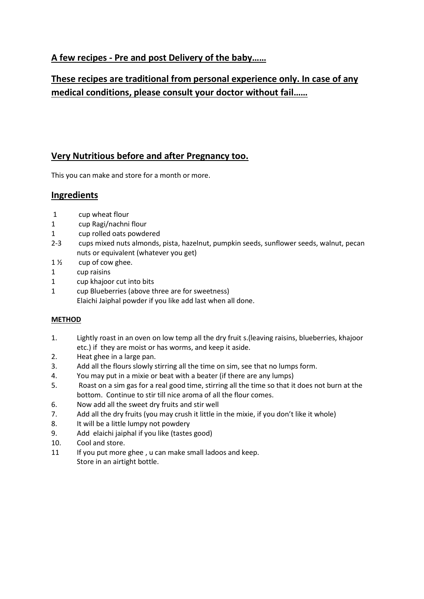## **A few recipes - Pre and post Delivery of the baby……**

## **These recipes are traditional from personal experience only. In case of any medical conditions, please consult your doctor without fail……**

### **Very Nutritious before and after Pregnancy too.**

This you can make and store for a month or more.

### **Ingredients**

- 1 cup wheat flour
- 1 cup Ragi/nachni flour
- 1 cup rolled oats powdered
- 2-3 cups mixed nuts almonds, pista, hazelnut, pumpkin seeds, sunflower seeds, walnut, pecan nuts or equivalent (whatever you get)
- $1\frac{1}{2}$  cup of cow ghee.
- 1 cup raisins
- 1 cup khajoor cut into bits
- 1 cup Blueberries (above three are for sweetness) Elaichi Jaiphal powder if you like add last when all done.

#### **METHOD**

- 1. Lightly roast in an oven on low temp all the dry fruit s.(leaving raisins, blueberries, khajoor etc.) if they are moist or has worms, and keep it aside.
- 2. Heat ghee in a large pan.
- 3. Add all the flours slowly stirring all the time on sim, see that no lumps form.
- 4. You may put in a mixie or beat with a beater (if there are any lumps)
- 5. Roast on a sim gas for a real good time, stirring all the time so that it does not burn at the bottom. Continue to stir till nice aroma of all the flour comes.
- 6. Now add all the sweet dry fruits and stir well
- 7. Add all the dry fruits (you may crush it little in the mixie, if you don't like it whole)
- 8. It will be a little lumpy not powdery
- 9. Add elaichi jaiphal if you like (tastes good)
- 10. Cool and store.
- 11 If you put more ghee , u can make small ladoos and keep. Store in an airtight bottle.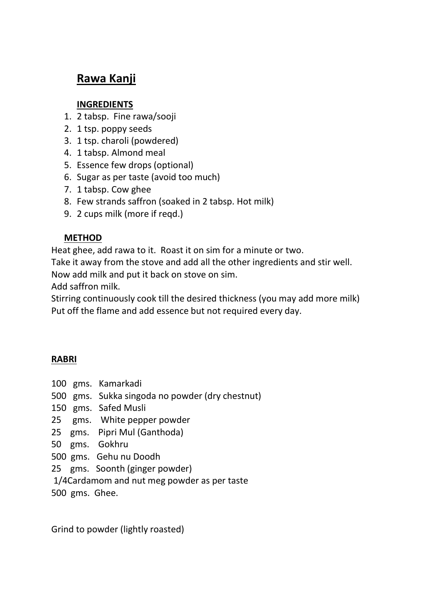# **Rawa Kanji**

## **INGREDIENTS**

- 1. 2 tabsp. Fine rawa/sooji
- 2. 1 tsp. poppy seeds
- 3. 1 tsp. charoli (powdered)
- 4. 1 tabsp. Almond meal
- 5. Essence few drops (optional)
- 6. Sugar as per taste (avoid too much)
- 7. 1 tabsp. Cow ghee
- 8. Few strands saffron (soaked in 2 tabsp. Hot milk)
- 9. 2 cups milk (more if reqd.)

## **METHOD**

Heat ghee, add rawa to it. Roast it on sim for a minute or two.

Take it away from the stove and add all the other ingredients and stir well.

Now add milk and put it back on stove on sim.

Add saffron milk.

Stirring continuously cook till the desired thickness (you may add more milk) Put off the flame and add essence but not required every day.

## **RABRI**

- 100 gms. Kamarkadi
- 500 gms. Sukka singoda no powder (dry chestnut)
- 150 gms. Safed Musli
- 25 gms. White pepper powder
- 25 gms. Pipri Mul (Ganthoda)
- 50 gms. Gokhru
- 500 gms. Gehu nu Doodh
- 25 gms. Soonth (ginger powder)
- 1/4Cardamom and nut meg powder as per taste
- 500 gms. Ghee.

Grind to powder (lightly roasted)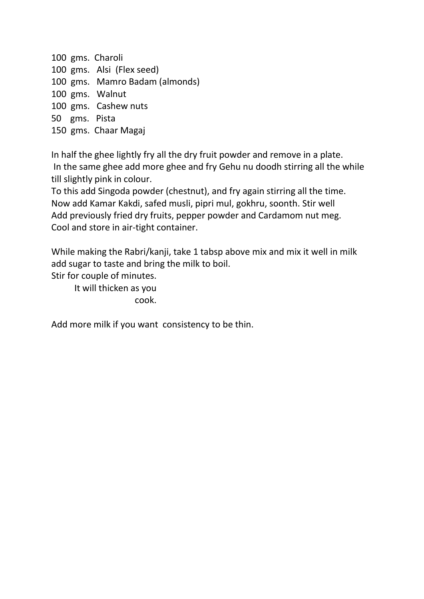gms. Charoli gms. Alsi (Flex seed) gms. Mamro Badam (almonds) gms. Walnut gms. Cashew nuts gms. Pista gms. Chaar Magaj

In half the ghee lightly fry all the dry fruit powder and remove in a plate. In the same ghee add more ghee and fry Gehu nu doodh stirring all the while till slightly pink in colour.

To this add Singoda powder (chestnut), and fry again stirring all the time. Now add Kamar Kakdi, safed musli, pipri mul, gokhru, soonth. Stir well Add previously fried dry fruits, pepper powder and Cardamom nut meg. Cool and store in air-tight container.

While making the Rabri/kanji, take 1 tabsp above mix and mix it well in milk add sugar to taste and bring the milk to boil.

Stir for couple of minutes.

It will thicken as you cook.

Add more milk if you want consistency to be thin.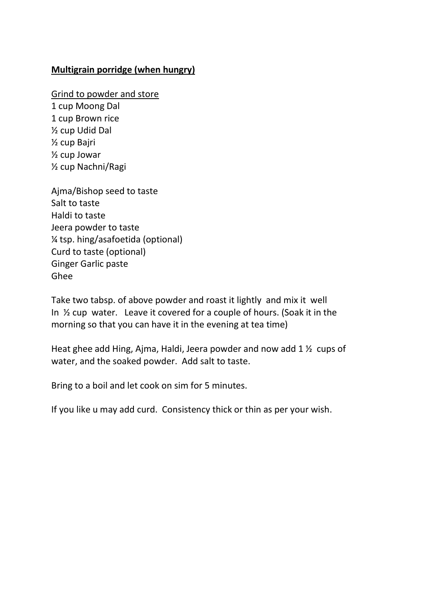## **Multigrain porridge (when hungry)**

Grind to powder and store

1 cup Moong Dal 1 cup Brown rice ½ cup Udid Dal ½ cup Bajri ½ cup Jowar ½ cup Nachni/Ragi

Ajma/Bishop seed to taste Salt to taste Haldi to taste Jeera powder to taste ¼ tsp. hing/asafoetida (optional) Curd to taste (optional) Ginger Garlic paste Ghee

Take two tabsp. of above powder and roast it lightly and mix it well In ½ cup water. Leave it covered for a couple of hours. (Soak it in the morning so that you can have it in the evening at tea time)

Heat ghee add Hing, Ajma, Haldi, Jeera powder and now add 1 ½ cups of water, and the soaked powder. Add salt to taste.

Bring to a boil and let cook on sim for 5 minutes.

If you like u may add curd. Consistency thick or thin as per your wish.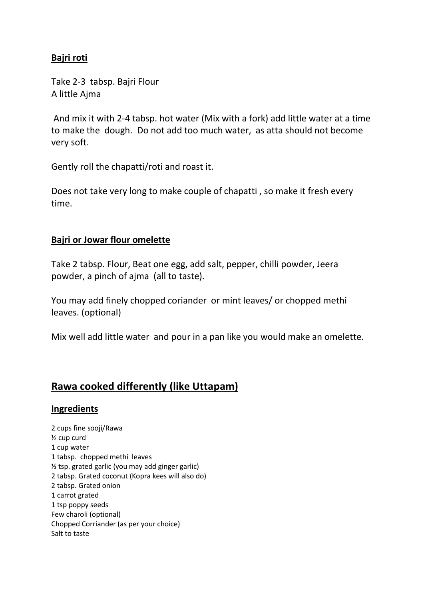## **Bajri roti**

Take 2-3 tabsp. Bajri Flour A little Ajma

And mix it with 2-4 tabsp. hot water (Mix with a fork) add little water at a time to make the dough. Do not add too much water, as atta should not become very soft.

Gently roll the chapatti/roti and roast it.

Does not take very long to make couple of chapatti , so make it fresh every time.

### **Bajri or Jowar flour omelette**

Take 2 tabsp. Flour, Beat one egg, add salt, pepper, chilli powder, Jeera powder, a pinch of ajma (all to taste).

You may add finely chopped coriander or mint leaves/ or chopped methi leaves. (optional)

Mix well add little water and pour in a pan like you would make an omelette.

## **Rawa cooked differently (like Uttapam)**

#### **Ingredients**

2 cups fine sooji/Rawa ½ cup curd 1 cup water 1 tabsp. chopped methi leaves ½ tsp. grated garlic (you may add ginger garlic) 2 tabsp. Grated coconut (Kopra kees will also do) 2 tabsp. Grated onion 1 carrot grated 1 tsp poppy seeds Few charoli (optional) Chopped Corriander (as per your choice) Salt to taste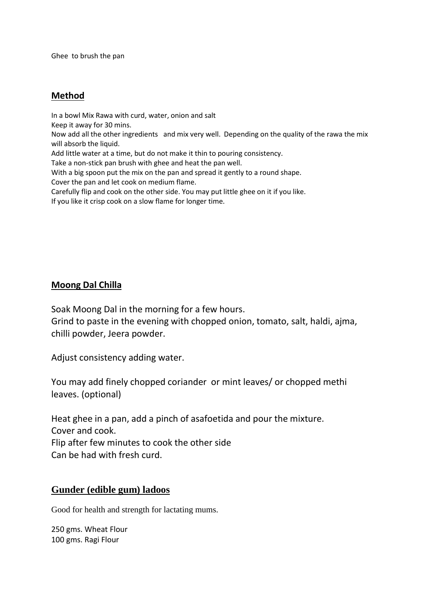Ghee to brush the pan

### **Method**

In a bowl Mix Rawa with curd, water, onion and salt Keep it away for 30 mins. Now add all the other ingredients and mix very well. Depending on the quality of the rawa the mix will absorb the liquid. Add little water at a time, but do not make it thin to pouring consistency. Take a non-stick pan brush with ghee and heat the pan well. With a big spoon put the mix on the pan and spread it gently to a round shape. Cover the pan and let cook on medium flame. Carefully flip and cook on the other side. You may put little ghee on it if you like. If you like it crisp cook on a slow flame for longer time.

### **Moong Dal Chilla**

Soak Moong Dal in the morning for a few hours.

Grind to paste in the evening with chopped onion, tomato, salt, haldi, ajma, chilli powder, Jeera powder.

Adjust consistency adding water.

You may add finely chopped coriander or mint leaves/ or chopped methi leaves. (optional)

Heat ghee in a pan, add a pinch of asafoetida and pour the mixture. Cover and cook. Flip after few minutes to cook the other side Can be had with fresh curd.

### **Gunder (edible gum) ladoos**

Good for health and strength for lactating mums.

250 gms. Wheat Flour 100 gms. Ragi Flour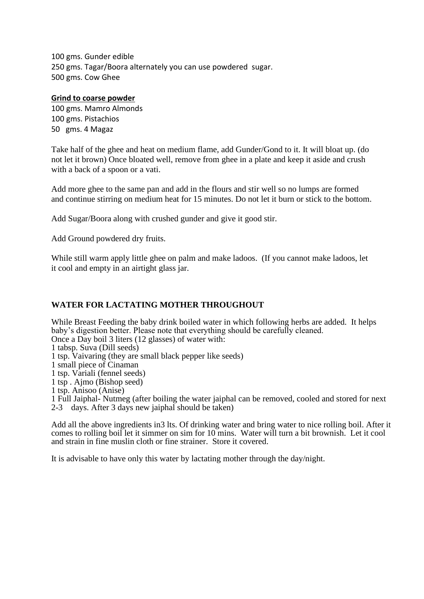100 gms. Gunder edible 250 gms. Tagar/Boora alternately you can use powdered sugar. 500 gms. Cow Ghee

#### **Grind to coarse powder**

100 gms. Mamro Almonds 100 gms. Pistachios 50 gms. 4 Magaz

Take half of the ghee and heat on medium flame, add Gunder/Gond to it. It will bloat up. (do not let it brown) Once bloated well, remove from ghee in a plate and keep it aside and crush with a back of a spoon or a vati.

Add more ghee to the same pan and add in the flours and stir well so no lumps are formed and continue stirring on medium heat for 15 minutes. Do not let it burn or stick to the bottom.

Add Sugar/Boora along with crushed gunder and give it good stir.

Add Ground powdered dry fruits.

While still warm apply little ghee on palm and make ladoos. (If you cannot make ladoos, let it cool and empty in an airtight glass jar.

#### **WATER FOR LACTATING MOTHER THROUGHOUT**

While Breast Feeding the baby drink boiled water in which following herbs are added. It helps baby's digestion better. Please note that everything should be carefully cleaned.

Once a Day boil 3 liters (12 glasses) of water with:

1 tabsp. Suva (Dill seeds)

1 tsp. Vaivaring (they are small black pepper like seeds)

1 small piece of Cinaman

1 tsp. Variali (fennel seeds)

1 tsp . Ajmo (Bishop seed)

1 tsp. Anisoo (Anise)

1 Full Jaiphal- Nutmeg (after boiling the water jaiphal can be removed, cooled and stored for next 2-3 days. After 3 days new jaiphal should be taken)

Add all the above ingredients in3 lts. Of drinking water and bring water to nice rolling boil. After it comes to rolling boil let it simmer on sim for 10 mins. Water will turn a bit brownish. Let it cool and strain in fine muslin cloth or fine strainer. Store it covered.

It is advisable to have only this water by lactating mother through the day/night.